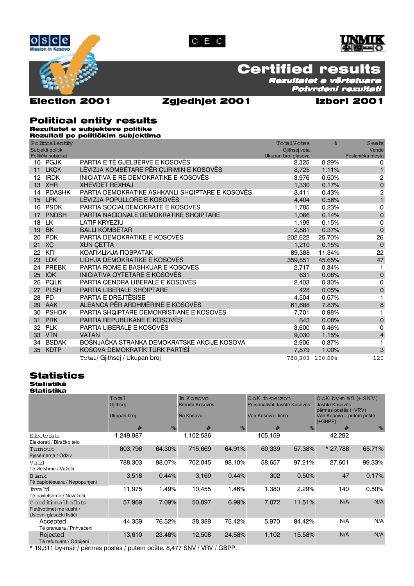





## **Certified results**

Rezultatet e vërtetuara Potvrđeni rezultati

## **Election 2001**

### Zgjedhjet 2001

## Izbori 2001

### **Political entity results** Rezultatet e subjekteve politike

Rezultati po političkim subjektima

Politicalentity TotalVotes  $\frac{1}{2}$ Seats Subjekti politik Gjithsej vota Vende Poslanička mesta Politički subjekat Ukupan broj glasova PARTIA E TË GJELBËRVE E KOSOVËS 10 PGJK 2.325 0.29%  $\Omega$ 11 LKCK LËVIZJA KOMBËTARE PËR CLIRIMIN E KOSOVËS 8,725 1.11%  $\mathbf{1}$ 12 IRDK INICIATIVA E RE DEMOKRATIKE E KOSOVËS 3.976 0.50%  $\overline{2}$  $\pmb{\mathsf{O}}$ **13 XHR XHEVDET REXHAJ** 1,330 0.17% PARTIA DEMOKRATIKE ASHKANLI SHQIPTARE E KOSOVËS  $14$ **PDASHK** 3411  $0.43%$ 2 4,404 LPK LËVIZJA POPULLORE E KOSOVËS 0.56%  $\mathbf{1}$ 15  $16$ **PSDK** PARTIA SOCIALDEMOKRATE E KOSOVËS 1.785 0.23%  $\mathbf 0$ PNDSH PARTIA NACIONALE DEMOKRATIKE SHQIPTARE 0.14%  $\mathbf 0$  $17$ 1,066 0.15% **LK LATIF KRYEZIU** 1.199  $\mathbf 0$ 18 **BALLI KOMBËTAR** 19 **BK** 2,881 0.37%  $\mathbf 0$  $20$  PDK PARTIA DEMOKRATIKE E KOSOVËS 202.622 25 70% 26 21 XC **XIIN CETTA** 1 210  $0.15%$  $\mathbf 0$ 22 KN КОАЛИЦИЈА ПОВРАТАК 89.388 11.34%  $\overline{22}$ 23 LDK LIDHJA DEMOKRATIKE E KOSOVËS 359,851 45.65% 47 24 PREBK PARTIA ROME E BASHKUAR E KOSOVES 2,717  $0.34%$  $\mathbf{1}$ 25 IQK INICIATIVA QYTETARE E KOSOVËS 631 0.08%  $\mathbf 0$ PARTIA QENDRA LIBERALE E KOSOVËS 26 POLK 2.403  $0.30%$ 0 PARTIA LIBERALE SHQIPTARE 27 PLSH  $\mathbf 0$ 428  $0.05%$ 28 PD PARTIA E DREJTËSISË 4.504 0.57% 1 29 AAK ALEANCA PËR ARDHMËRINË E KOSOVËS 61.688 7.83% 8  $30^{\circ}$ **PSHDK** PARTIA SHQIPTARE DEMOKRISTIANE E KOSOVËS 7.701 0.98%  $\overline{1}$  $31$ **PRK** PARTIA REPUBLIKANE E KOSOVËS 643 0.08%  $\mathbf 0$ PLK PARTIA LIBERALE E KOSOVËS 32 3,600 0.46% 0 **VTN VATAN**  $\overline{4}$ 33 9.030 1.15% BOŠNJAČKA STRANKA DEMOKRATSKE AKCIJE KOSOVA **RSDAK**  $34$ 2 QOR  $0.37\%$  $\blacksquare$ KOSOVA DEMOKRATİK TÜRK PARTİSİ 35 KDTP 1.00%  $\mathbf{3}$ 7.879 Total/ Gjithsej / Ukupan broj  $120$ 788303 100.00%

## **Statistics**

**Statistikë Statistika** 

Total In Kosovo OoK in-person  $0$  oK by-m ail  $(+$  SNV) Brenda Kosovës Personalisht Jashtë Kosovës Jashtë Kosovës Giithsei përmes postës (+VRV) Ukupan broj Na Kosovu Van Kosova - lično Van Kosova - putem pošte  $(+GBPP)$  $\frac{Q}{Q}$  $\frac{9}{6}$  $#$  $#$  $\frac{9}{6}$ # 1,249,987 1,102,536 105,159 Electorate 42,292 Elektorati / Biračko telo 57.38% 64.30% 64.91% \* 27,788 Tumout 803,796 715,669 60,339 65.71% Piesëmarria / Odziv 788.303 98.07% 702.045 98 10% 58.657 97 21% 99.33% Valid 27 601 Të vlefshme / Važeći  $0.44%$  $0.44%$ 0.17% 3,518 3,169 302 0.50% 47 **B** lank Të paplotësuara / Nepopunjeni 1.49% 10.455 1.46% 1.380 2.29% 140 0.50% Thya lid 11,975 Të pavlefshme / Nevažeći  $N/A$  $N/A$ Conditionalballots 57.969 7.09% 50.897 6.99% 7.072 11.51% Fletëvotimet me kusht / Uslovni glasački listići Accepted 44,359 76.52% 38,389 75.42% 5,970 84.42%  $N/A$  $N/A$ Të pranuara / Prihvaćeni  $N/A$  $N/A$ Rejected 13.610 23.48% 12,508 24.58% 1.102 15.58% Të refuzuara / Odbijeni

\* 19,311 by-mail / përmes postës / putem pošte. 8,477 SNV / VRV / GBPP.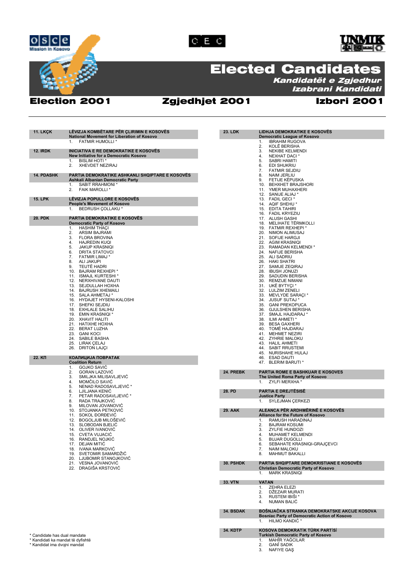





# Elected Candidates

Kandidatët e Zgjedhur Izabrani Kandidati

## Election 2001 Zgjedhjet 2001 Izbori 2001

| <b>11. LKÇK</b>                   | LÊVIZJA KOMBÊTARE PÊR ÇLIRIMIN E KOSOVËS<br>National Movement for Liberation of Kosovo | 23. LDK         | LIDHJA DEMOKRATIKE E KOSOVËS<br><b>Democratic League of Kosovo</b>          |
|-----------------------------------|----------------------------------------------------------------------------------------|-----------------|-----------------------------------------------------------------------------|
|                                   | <b>FATMIR HUMOLLI*</b><br>1.                                                           |                 | <b>IBRAHIM RUGOVA</b><br>1.                                                 |
|                                   |                                                                                        |                 | 2.<br>KOLË BERISHA                                                          |
| <b>12. IRDK</b>                   | INICIATIVA E RE DEMOKRATIKE E KOSOVËS                                                  |                 | 3.<br><b>NEKIBE KELMENDI</b>                                                |
|                                   | New Initiative for a Democratic Kosovo                                                 |                 | 4.<br>NEXHAT DACI *                                                         |
|                                   | <b>BISLIM HOTI *</b><br>1.<br>2.<br><b>XHEVDET NEZIRAJ</b>                             |                 | 5.<br>SABRI HAMITI<br>6.<br>EDI SHUKRIU                                     |
|                                   |                                                                                        |                 | 7.<br><b>FATMIR SEJDIU</b>                                                  |
| <b>14. PDASHK</b>                 | PARTIA DEMOKRATIKE ASHKANLI SHQIPTARE E KOSOVËS                                        |                 | 8.<br><b>NAIM JERLIU</b>                                                    |
|                                   | Ashkali Albanian Democratic Party                                                      |                 | FETIJE KËPUSKA<br>9.                                                        |
|                                   | SABIT RRAHMONI *<br>1.                                                                 |                 | 10. BEHXHET BRAJSHORI                                                       |
|                                   | 2.<br><b>FAIK MAROLLI*</b>                                                             |                 | 11. YMER MUHAXHERI                                                          |
| <b>15. LPK</b>                    | LÊVIZJA POPULLORE E KOSOVËS                                                            |                 | 12. SANIJE ALIAJ *<br>13. FADIL GECI *                                      |
|                                   | People's Movement of Kosovo                                                            |                 | 14. AQIF SHEHU *                                                            |
|                                   | BEDRUSH COLLAKU *<br>1.                                                                |                 | 15. EDITA TAHIRI                                                            |
|                                   |                                                                                        |                 | 16. FADIL KRYEZIU                                                           |
| <b>20. PDK</b>                    | <b>PARTIA DEMOKRATIKE E KOSOVËS</b>                                                    |                 | 17. ALUSH GASHI                                                             |
|                                   | <b>Democratic Party of Kosovo</b><br><b>HASHIM THACI</b><br>1.                         |                 | 18. MELIHATE TËRMKOLLI<br>19. FATMIR REXHEPI *                              |
|                                   | 2.<br><b>ARSIM BAJRAMI</b>                                                             |                 | 20. NIMON ALIMUSAJ                                                          |
|                                   | 3.<br><b>FLORA BROVINA</b>                                                             |                 | 21. SOFIJE HARGJI                                                           |
|                                   | 4.<br><b>HAJREDIN KUQI</b>                                                             |                 | 22. AGIM KRASNIQI                                                           |
|                                   | 5.<br><b>JAKUP KRASNIQI</b><br>6.<br><b>DRITA STATOVCI</b>                             |                 | 23. RAMADAN KELMENDI*<br>24. NAFIJE BERISHA                                 |
|                                   | 7.<br><b>FATMIR LIMAJ *</b>                                                            |                 | 25. ALI SADRIU                                                              |
|                                   | 8.<br><b>ALI JAKUPI</b>                                                                |                 | 26. HAKI SHATRI                                                             |
|                                   | 9.<br>TEUTË HADRI                                                                      |                 | 27. SAMIJE ZEQIRAJ                                                          |
|                                   | 10. BAJRAM REXHEPI *                                                                   |                 | 28. IBUSH JONUZI                                                            |
|                                   | 11. ISMAJL KURTESHI *<br>12. NERXHIVANE DAUTI                                          |                 | 29. SADUDIN BERISHA<br>30. REMZIJE NIMANI                                   |
|                                   | SEJDULLAH HOXHA<br>13.                                                                 |                 | 31. UKË BYTYÇI*                                                             |
|                                   | 14. BAJRUSH XHEMAILI                                                                   |                 | 32. LULZIM ZENELI                                                           |
|                                   | 15. SALA AHMETAJ *                                                                     |                 | 33. MEVLYDE SARAÇI *                                                        |
|                                   | 16. HYDAJET HYSENI-KALOSHI                                                             |                 | 34. JUSUF SUTAJ *                                                           |
|                                   | 17. SHEFKI SEJDIU<br><b>EXHLALE SALIHU</b><br>18.                                      |                 | 35. GANI PREKOPUCA<br>36. GJULSHEN BERISHA                                  |
|                                   | 19. EMIN KRASNIQI *                                                                    |                 | 37. SMAJL HAJDARAJ *                                                        |
|                                   | 20. XHAVIT HALITI                                                                      |                 | 38. ILMI AHMETI                                                             |
|                                   | 21. HATIXHE HOXHA                                                                      |                 | 39.<br><b>BESA GAXHERI</b>                                                  |
|                                   | 22. BERAT LUZHA                                                                        |                 | 40. TOMË HAJDARAJ                                                           |
|                                   | 23. GANI KOCI<br>24.<br>SABILE BASHA                                                   |                 | 41. MEHMET NEZIRI<br>42. ZYHRIE MALOKU                                      |
|                                   | 25.<br>LIRAK ÇELAJ                                                                     |                 | 43. HALIL AHMETI                                                            |
|                                   | 26. DRITON LAJÇI                                                                       |                 | 44. SABIT RRUSTEMI                                                          |
|                                   |                                                                                        |                 | 45. NURISHAHE HULAJ                                                         |
| 22. KN                            | КОАЛИЦИЈА ПОВРАТАК                                                                     |                 | 46.<br><b>ESAD DAUTI</b>                                                    |
|                                   | <b>Coalition Return</b><br>1.<br><b>GOJKO SAVIC</b>                                    |                 | 47. BLERIM BARUTI *                                                         |
|                                   | <b>GORAN LAZOVIC</b><br>2.                                                             | 24. PREBK       | PARTIA ROME E BASHKUAR E KOSOVES                                            |
|                                   | 3.<br>SMILJKA MILISAVLJEVIĆ                                                            |                 | The United Roma Party of Kosovo                                             |
|                                   | MOMĈILO SAVIĈ<br>4.                                                                    |                 | ZYLFI MERXHA<br>1.                                                          |
|                                   | 5.<br>NENAD RADOSAVLJEVIĆ *                                                            | 28. PD          | <b>PARTIA E DREJTËSISË</b>                                                  |
|                                   | 6.<br>LJILJANA KENIC<br>PETAR RADOSAVLJEVIĆ *<br>7.                                    |                 | <b>Justice Party</b>                                                        |
|                                   | 8.<br>RADA TRAJKOVIĆ                                                                   |                 | SYLEJMAN ÇERKEZI<br>1.                                                      |
|                                   | MILOVAN JOVANOVIC<br>9.                                                                |                 |                                                                             |
|                                   | 10.<br>STOJANKA PETKOVIĆ                                                               | <b>29. AAK</b>  | ALEANCA PËR ARDHMËRINË E KOSOVËS                                            |
|                                   | SOKOL ĐORĐEVIČ<br>11.<br>BOGOLJUB MILOŠEVIĆ                                            |                 | <b>Alliance for the Future of Kosovo</b><br>RAMUSH HARADINAJ                |
|                                   | 12.<br>13. SLOBODAN BJELIĆ                                                             |                 | 1.<br><b>BAJRAM KOSUMI</b><br>2.                                            |
|                                   | 14. OLIVER IVANOVIC                                                                    |                 | <b>ZYLFIE HUNDOZI</b><br>3.                                                 |
|                                   | 15. CVETA VUJACIĆ                                                                      |                 | MUHAMET KELMENDI<br>4.                                                      |
|                                   | 16. – RANDJEL NOJKIĆ                                                                   |                 | BUJAR DUGOLLI<br>b.                                                         |
|                                   | 17. DEJAN MITIC<br>18. IVANA MARKOVIĆ                                                  |                 | SEBAHATE KRASNIQI-GRAJCEVCI<br>6.<br><b>NAIM MALOKU</b><br>7.               |
|                                   | 19. SVETOMIR SAMARDŽIĆ                                                                 |                 | <b>MAHMUT BAKALLI</b><br>8.                                                 |
|                                   | 20. LJUBOMIR STANOJKOVIĆ                                                               |                 |                                                                             |
|                                   | 21. VESNA JOVANOVIĆ                                                                    | 30. PSHDK       | PARTIA SHQIPTARE DEMOKRISTIANE E KOSOVËS                                    |
|                                   | 22. DRAGIŠA KRSTOVIĆ                                                                   |                 | <b>Christian Democratic Party of Kosovo</b>                                 |
|                                   |                                                                                        |                 | <b>MARK KRASNIQI</b><br>1.                                                  |
|                                   |                                                                                        | 33. VTN         | <b>VATAN</b>                                                                |
|                                   |                                                                                        |                 | 1. ZEHRA ELEZI                                                              |
|                                   |                                                                                        |                 | DŽEZAIR MURATI<br>2.                                                        |
|                                   |                                                                                        |                 | 3. RUSTEM IBIŠI *                                                           |
|                                   |                                                                                        |                 | <b>NUMAN BALIC</b><br>4.                                                    |
|                                   |                                                                                        | 34. BSDAK       | BOŠNJAČKA STRANKA DEMOKRATSKE AKCIJE KOSOVA                                 |
|                                   |                                                                                        |                 | <b>Bosniac Party of Democratic Action of Kosovo</b>                         |
|                                   |                                                                                        |                 | 1. HILMO KANDIĆ *                                                           |
|                                   |                                                                                        |                 |                                                                             |
| * Candidate has dual mandate      |                                                                                        | <b>34. KDTP</b> | KOSOVA DEMOKRATİK TÜRK PARTİSİ<br><b>Turkish Democratic Party of Kosovo</b> |
| * Kandidati ka mandat të dyfishtë |                                                                                        |                 | MAHÎR YAĞCILAR<br>1.                                                        |
| * Kandidat ima dvojni mandat      |                                                                                        |                 | <b>GANÎ SADIK</b><br>2.                                                     |
|                                   |                                                                                        |                 | 3. NAFIYE GAŞ                                                               |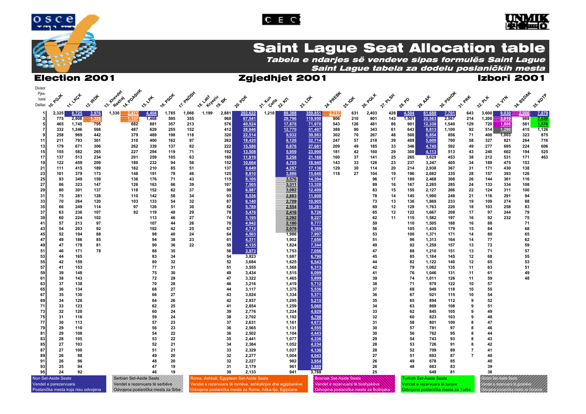





## **Saint Lague Seat Allocation table**

Tabela e ndarjes së vendeve sipas formulës Saint Lague Saint Lague tabela za dodelu poslaničkih mesta

## Election 2001 Zgjedhjet 2001 Izbori 2001

| Divisor                                                                                                   |            |                 |            |             |              |               |                 |            |               |              |                                                             |                         |                 |                      |                                    |          |            |          |            |                                |              |                |            |                                |            |              |
|-----------------------------------------------------------------------------------------------------------|------------|-----------------|------------|-------------|--------------|---------------|-----------------|------------|---------------|--------------|-------------------------------------------------------------|-------------------------|-----------------|----------------------|------------------------------------|----------|------------|----------|------------|--------------------------------|--------------|----------------|------------|--------------------------------|------------|--------------|
| Pjes-<br>tuesi                                                                                            | Pevk       | <b>11-1-4GX</b> | 12.1RDK    | 13- travdet | AA. POASHK   |               | <b>16. PSOX</b> | IT PNDSY   | 18. 4 Marie & |              |                                                             |                         |                 | $\mathcal{P}_{\phi}$ | 24. PAEEBY                         |          | 26. Paux   | 27. PLSX |            | AAX                            | 30. Pastot   |                |            | 74                             | 34.850AX   | 35- KOTP     |
| Delilac Q.                                                                                                |            |                 |            |             |              | <b>15.184</b> |                 |            |               | <b>19.84</b> | 20.POK                                                      | 21. Tun <sub>gste</sub> | 22.45           | $n^2$                |                                    | 25.10t   |            |          | ୰<br>^৳    | ^ু                             |              | 31- PRK        | 32. PLY    | $a_2^2$                        |            |              |
|                                                                                                           | 2,325      | 8,725           | 3,976      | 1,330       | <u>3,411</u> | 4,404         | 1,785           | 1,066      | 1,199         | 2,881        | 202,622                                                     | 1,210                   | 89,388          | 359,851              | 2,717                              | 631      | 2,403      | 428      | 4,504      | 61,688                         | 7,701        | 643            | 3,600      | 9,030                          | 2,906      | 7,879        |
|                                                                                                           | 775        | 2,908           | 1,325      |             | 1,137        | 1,468         | 595             | 355        |               | 960          | 67,541                                                      |                         | 29,796          | 119,950              | 906                                | 210      | 801        | 143      | 1,501      | 20,563                         | 2,567        | 214            | 1,200      | 3,010                          | 969        | 2,626        |
|                                                                                                           | 465        | 1,745           | 795        |             | 682          | 881           | 357             | 213        |               | 576          | 40,524                                                      |                         | 17,878          | 71,970               | 543                                | 126      | 481        | 86       | 901        | 12,338                         | 1,540        | 129            | 720        | 1,806                          | 581        | 1,576        |
|                                                                                                           | 332<br>258 | 1,246<br>969    | 568<br>442 |             | 487<br>379   | 629<br>489    | 255<br>198      | 152<br>118 |               | 412<br>320   | 28,946<br>22,514                                            |                         | 12,770<br>9,932 | 51,407<br>39,983     | 388<br>302                         | 90<br>70 | 343<br>267 | 61<br>48 | 643<br>500 | 8,813<br>6,854                 | 1,100<br>856 | 92<br>71       | 514<br>400 | 11290<br>1,003                 | 415<br>323 | 1,126<br>875 |
| -11                                                                                                       | 211        | 793             | 361        |             | 310          | 400           | 162             | 97         |               | 262          | 18,420                                                      |                         | 8,126           | 32,714               | 247                                | 57       | 218        | 39       | 409        | 5,608                          | 700          | 58             | 327        | 821                            | 264        | 716          |
| 13                                                                                                        | 179        | 671             | 306        |             | 262          | 339           | 137             | 82         |               | 222          | 15,586                                                      |                         | 6,876           | 27,681               | 209                                | 49       | 185        | 33       | 346        | 4,745                          | 592          | 49             | 277        | 695                            | 224        | 606          |
| 15                                                                                                        | 155        | 582             | 265        |             | 227          | 294           | 119             | 71         |               | 192          | 13,508                                                      |                         | 5,959           | 23,990               | 181                                | 42       | 160        | 29       | 300        | 4,113                          | 513          | 43             | 240        | 602                            | 194        | 525          |
| 17                                                                                                        | 137        | 513             | 234        |             | 201          | 259           | 105             | 63         |               | 169          | 11,919                                                      |                         | 5,258           | 21,168               | 160                                | 37       | 141        | 25       | 265        | 3,629                          | 453          | 38             | 212        | 531                            | 171        | 463          |
| 19<br>21                                                                                                  | 122<br>111 | 459<br>415      | 209<br>189 |             | 180<br>162   | 232<br>210    | 94<br>85        | 56<br>51   |               | 152<br>137   | 10,664<br>9,649                                             |                         | 4,705<br>4,257  | 18,940<br>17,136     | 143<br>129                         | 33<br>30 | 126<br>114 | 23<br>20 | 237<br>214 | 3,247<br>2,938                 | 405<br>367   | 34<br>31       | 189<br>171 | 475<br>430                     | 153<br>138 |              |
| 23                                                                                                        | 101        | 379             | 173        |             | 148          | 191           | 78              | 46         |               | 125          | 8,810                                                       |                         | 3,886           | 15,646               | 118                                | 27       | 104        | 19       | 196        | 2,682                          | 335          | 28             | 157        | 393                            | 126        |              |
| 25                                                                                                        | 93         | 349             | 159        |             | 136          | 176           | 71              | 43         |               | 115          | 8,105                                                       |                         | 3,576           | 14,394               |                                    |          | 96         | 17       | 180        | 2,468                          | 308          | 26             | 144        | 361                            | 116        |              |
| 27                                                                                                        | 86         | 323             | 147        |             | 126          | 163           | 66              | 39         |               | 107          | 7,505                                                       |                         | 3,311           | 13,328               |                                    |          | 89         | 16       | 167        | 2,285                          | 285          | 24             | 133        | 334                            | 108        |              |
| 29                                                                                                        | 80         | 301             | 137        |             | 118          | 152           | 62              | 37         |               | 99           | 6,987                                                       |                         | 3,082           | 12,409               |                                    |          | 83         | 15       | 155        | 2,127                          | 266          | 22             | 124        | 311                            | 100        |              |
| 31<br>33                                                                                                  | 75<br>70   | 281<br>264      | 128<br>120 |             | 110<br>103   | 142<br>133    | 58<br>54        | 34<br>32   |               | 93<br>87     | 6,536                                                       |                         | 2,883<br>2,709  | 11,608<br>10,905     |                                    |          | 78<br>73   | 14<br>13 | 145<br>136 | 1,990                          | 248<br>233   | 21<br>19       | 116<br>109 | 291<br>274                     | 94<br>88   |              |
| 35                                                                                                        | 66         | 249             | 114        |             | 97           | 126           | 51              | 30         |               | 82           | 6,140<br>5,789                                              |                         | 2,554           | 10,281               |                                    |          | 69         | 12       | 129        | 1,869<br>1,763                 | 220          | 18             | 103        | 258                            | 83         |              |
| 37                                                                                                        | 63         | 236             | 107        |             | 92           | 119           | 48              | 29         |               | 78           | 5,476                                                       |                         | 2,416           | 9,726                |                                    |          | 65         | 12       | 122        | 1,667                          | 208          | 17             | 97         | 244                            | 79         |              |
| 39                                                                                                        | 60         | 224             | 102        |             |              | 113           | 46              | 27         |               | 74           | 5,195                                                       |                         | 2,292           | 9,227                |                                    |          | 62         | 11       | 115        | 1,582                          | 197          | 16             | 92         | 232                            | 75         |              |
| 41                                                                                                        | 57         | 213             | 97         |             |              | 107           | 44              | 26         |               | 70           | 4,942                                                       |                         | 2,180           | 8,777                |                                    |          | 59         |          | 110        | 1,505                          | 188          | 16             | 88         |                                | 71         |              |
| 43                                                                                                        | 54         | 203             | 92<br>88   |             |              | 102           | 42              | 25<br>24   |               | 67<br>64     | 4,712                                                       |                         | 2,079           | 8,369                |                                    |          | 56         |          | 105        | 1,435                          | 179          | 15             | 84<br>80   |                                | 68<br>65   |              |
| 45<br>47                                                                                                  | 52<br>49   | 194<br>186      | 85         |             |              | 98<br>94      | 40<br>38        | 23         |               | 61           | 4,503<br>4,311                                              |                         | 1,986<br>1,902  | 7,997<br>7,656       |                                    |          | 53<br>51   |          | 100<br>96  | 1,371<br>1,313                 | 171<br>164   | 14<br>14       | 77         |                                | 62         |              |
| 49                                                                                                        | 47         | 178             | 81         |             |              | 90            | 36              | 22         |               | 59           | 4,135                                                       |                         | 1,824           | 7,344                |                                    |          | 49         |          | 92         | 1,259                          | 157          | 13             | 73         |                                | 59         |              |
| 51                                                                                                        | 46         | 171             | 78         |             |              | 86            | 35              |            |               | 56           | 3,973                                                       |                         | 1,753           | 7,056                |                                    |          | 47         |          | 88         | 1,210                          | 151          | 13             | 71         |                                | 57         |              |
| 53                                                                                                        | 44         | 165             |            |             |              | 83            | 34              |            |               | 54           | 3,823                                                       |                         | 1,687           | 6,790                |                                    |          | 45         |          | 85         | 1,164                          | 145          | 12             | 68         |                                | 55         |              |
| 55                                                                                                        | 42         | 159             |            |             |              | 80            | 32              |            |               | 52           | 3,684                                                       |                         | 1,625           | 6,543                |                                    |          | 44         |          | 82         | 1,122                          | 140          | 12             | 65         |                                | 53         |              |
| 57<br>59                                                                                                  | 41<br>39   | 153<br>148      |            |             |              | 77<br>75      | 31<br>30        |            |               | 51<br>49     | 3,555<br>3,434                                              |                         | 1,568<br>1,515  | 6,313<br>6,099       |                                    |          | 42<br>41   |          | 79<br>76   | 1,082<br>1,046                 | 135<br>131   | 11<br>11       | 63<br>61   |                                | 51<br>49   |              |
| 61                                                                                                        | 38         | 143             |            |             |              | 72            | 29              |            |               | 47           | 3,322                                                       |                         | 1,465           | 5,899                |                                    |          | 39         |          | 74         | 1,011                          | 126          | 11             | 59         |                                | 48         |              |
| 63                                                                                                        | 37         | 138             |            |             |              | 70            | 28              |            |               | 46           | 3,216                                                       |                         | 1,419           | 5,712                |                                    |          | 38         |          | 71         | 979                            | 122          | 10             | 57         |                                |            |              |
| 65                                                                                                        | 36         | 134             |            |             |              | 68            | 27              |            |               | 44           | 3,117                                                       |                         | 1,375           | 5,536                |                                    |          | 37         |          | 69         | 949                            | 118          | 10             | 55         |                                |            |              |
| 67<br>69                                                                                                  | 35<br>34   | 130<br>126      |            |             |              | 66            | 27<br>26        |            |               | 43<br>42     | 3,024                                                       |                         | 1,334           | 5,371                |                                    |          | 36<br>35   |          | 67<br>65   | 921                            | 115<br>112   | 10<br>9        | 54<br>52   |                                |            |              |
| 71                                                                                                        | 33         | 123             |            |             |              | 64<br>62      | 25              |            |               | 41           | 2,937<br>2,854                                              |                         | 1,295<br>1,259  | 5,215<br>5,068       |                                    |          | 34         |          | 63         | 894<br>869                     | 108          | 9              | 51         |                                |            |              |
| 73                                                                                                        | 32         | 120             |            |             |              | 60            | 24              |            |               | 39           | 2,776                                                       |                         | 1,224           | 4,929                |                                    |          | 33         |          | 62         | 845                            | 105          | 9              | 49         |                                |            |              |
| 75                                                                                                        | 31         | 116             |            |             |              | 59            | 24              |            |               | 38           | 2,702                                                       |                         | 1,192           | 4,798                |                                    |          | 32         |          | 60         | 823                            | 103          | 9              | 48         |                                |            |              |
| 77                                                                                                        | 30         | 113             |            |             |              | 57            | 23              |            |               | 37           | 2,631                                                       |                         | 1,161           | 4,673                |                                    |          | 31         |          | 58         | 801                            | 100          | 8              | 47         |                                |            |              |
| 79                                                                                                        | 29         | 110             |            |             |              | 56            | 23              |            |               | 36           | 2,565                                                       |                         | 1,131           | 4,555                |                                    |          | 30         |          | 57         | 781                            | 97           | 8              | 46         |                                |            |              |
| 81<br>83                                                                                                  | 29<br>28   | 108<br>105      |            |             |              | 54<br>53      | 22<br>22        |            |               | 36<br>35     | 2,502<br>2,441                                              |                         | 1,104<br>1,077  | 4,443<br>4,336       |                                    |          | 30<br>29   |          | 56<br>54   | 762<br>743                     | 95<br>93     | 8<br>8         | 44<br>43   |                                |            |              |
| 85                                                                                                        | 27         | 103             |            |             |              | 52            | 21              |            |               | 34           | 2,384                                                       |                         | 1,052           | 4,234                |                                    |          | 28         |          | 53         | 726                            | 91           | 8              | 42         |                                |            |              |
| 87                                                                                                        | 27         | 100             |            |             |              | 51            | 21              |            |               | 33           | 2,329                                                       |                         | 1,027           | 4,136                |                                    |          | 28         |          | 52         | 709                            | 89           | $\overline{7}$ | 41         |                                |            |              |
| 89                                                                                                        | 26         | 98              |            |             |              | 49            | 20              |            |               | 32           | 2,277                                                       |                         | 1,004           | 4,043                |                                    |          | 27         |          | 51         | 693                            | 87           | $\overline{7}$ | 40         |                                |            |              |
| 91                                                                                                        | 26         | 96              |            |             |              | 48            | 20              |            |               | 32           | 2,227                                                       |                         | 982             | 3,954                |                                    |          | 26         |          | 49         | 678                            | 85           |                | 40         |                                |            |              |
| 93<br>95                                                                                                  | 25<br>24   | 94<br>92        |            |             |              | 47<br>46      | 19<br>19        |            |               | 31<br>30     | 2,179                                                       |                         | 961             | 3,869                |                                    |          | 26<br>25   |          | 48         | 663<br>649                     | 83           |                | 39<br>38   |                                |            |              |
|                                                                                                           |            |                 |            |             |              |               |                 |            |               |              | 2,133<br>Roma, Ashkali, Egyptean Set-Aside Seats            |                         | 941             | 3,788                | <b>Bosniak Set-Aside Seats</b>     |          |            |          |            | <b>Turkish Set-Aside Seats</b> | 81           |                |            |                                |            |              |
| Non Set-Aside Seats<br>Serbian Set-Aside Seats<br>Vendet e parezervuara<br>Vendet e rezervuara të serbëve |            |                 |            |             |              |               |                 |            |               |              | Vendet e rezervuara të romëve, ashkalinjve dhe egjiptianëve |                         |                 |                      | Vendet e rezervuara të boshjakëve. |          |            |          |            | Vendet e rezervuara të turqve  |              |                |            |                                |            |              |
|                                                                                                           |            |                 |            |             |              |               |                 |            |               |              |                                                             |                         |                 |                      |                                    |          |            |          |            |                                |              |                |            | endet e rezervuara te goraneve |            |              |

Poslanička mesta koja nisu odvojena volonije oposlanička mesta za Srbe Odvojena poslanička mesta za Rome, Aška-lije, Egipćane Odvojena poslanička mesta za Bošnjake Odvojena poslanička mesta za Turke Odvojena poslanička mes